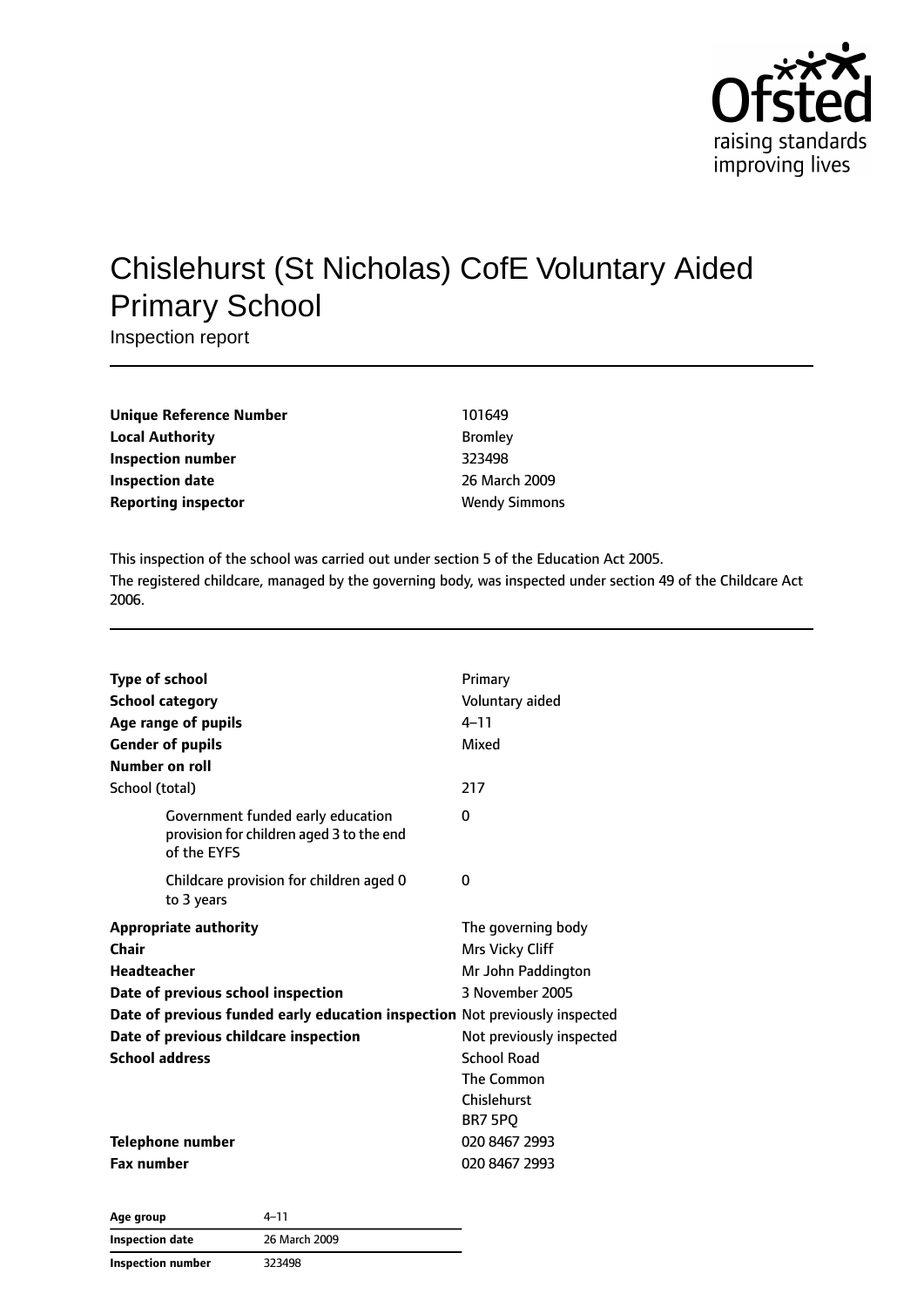

# Chislehurst (St Nicholas) CofE Voluntary Aided Primary School

Inspection report

| Unique Reference Number    | 101649               |
|----------------------------|----------------------|
| <b>Local Authority</b>     | <b>Bromley</b>       |
| Inspection number          | 323498               |
| Inspection date            | 26 March 2009        |
| <b>Reporting inspector</b> | <b>Wendy Simmons</b> |

This inspection of the school was carried out under section 5 of the Education Act 2005. The registered childcare, managed by the governing body, was inspected under section 49 of the Childcare Act 2006.

| <b>Type of school</b><br><b>School category</b><br>Age range of pupils<br><b>Gender of pupils</b><br>Number on roll | Primary<br>Voluntary aided<br>$4 - 11$<br>Mixed |
|---------------------------------------------------------------------------------------------------------------------|-------------------------------------------------|
| School (total)                                                                                                      | 217                                             |
| Government funded early education<br>provision for children aged 3 to the end<br>of the EYFS                        | 0                                               |
| Childcare provision for children aged 0<br>to 3 years                                                               | $\Omega$                                        |
| <b>Appropriate authority</b>                                                                                        | The governing body                              |
| Chair                                                                                                               | Mrs Vicky Cliff                                 |
| Headteacher                                                                                                         | Mr John Paddington                              |
| Date of previous school inspection                                                                                  | 3 November 2005                                 |
| Date of previous funded early education inspection Not previously inspected                                         |                                                 |
| Date of previous childcare inspection                                                                               | Not previously inspected                        |
| <b>School address</b>                                                                                               | <b>School Road</b>                              |
|                                                                                                                     | The Common                                      |
|                                                                                                                     | Chislehurst                                     |
|                                                                                                                     | BR7 5PQ                                         |
| Telephone number                                                                                                    | 020 8467 2993                                   |
| <b>Fax number</b>                                                                                                   | 020 8467 2993                                   |

| Age group         | 4–11          |  |
|-------------------|---------------|--|
| Inspection date   | 26 March 2009 |  |
| Inspection number | 323498        |  |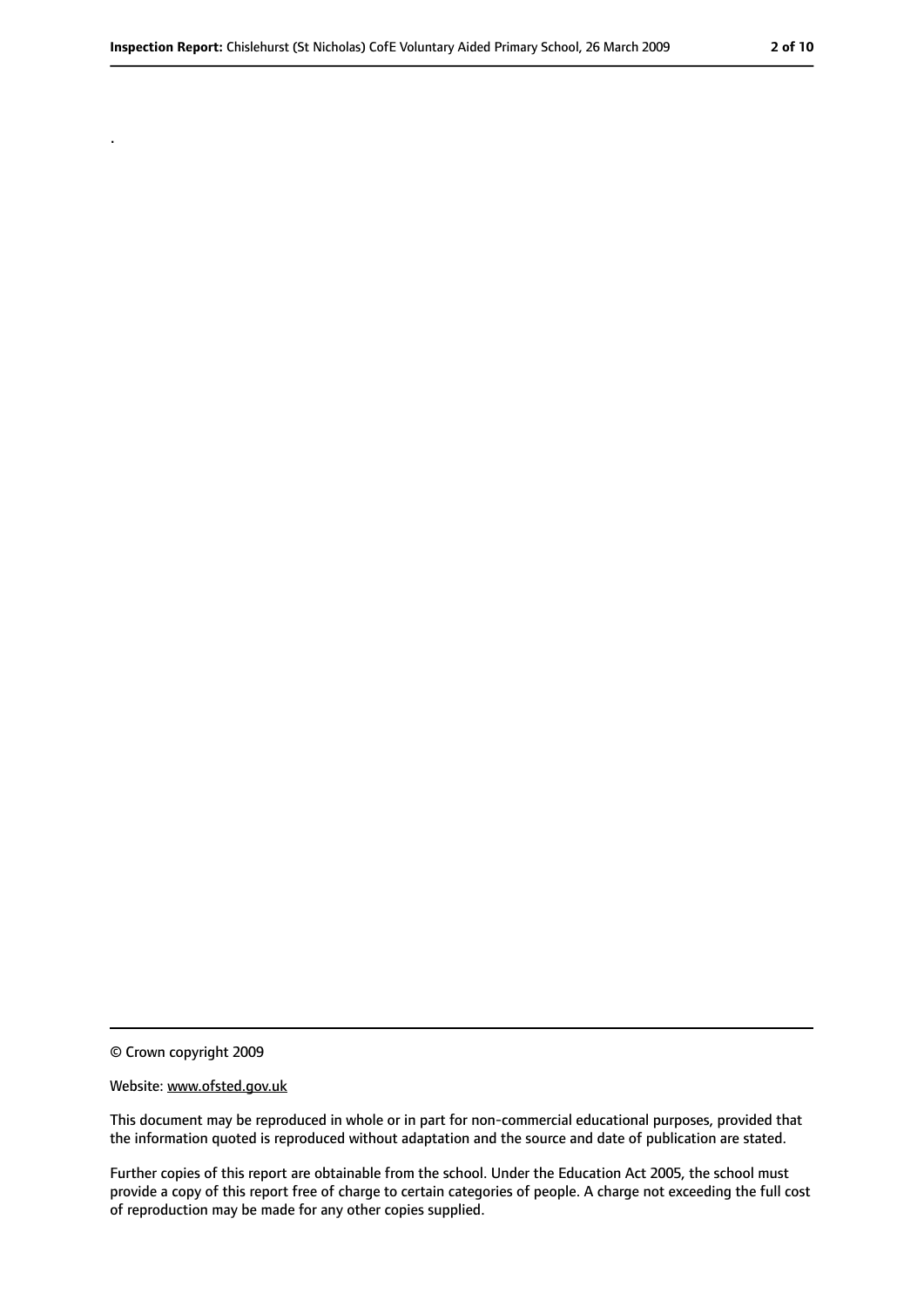© Crown copyright 2009

.

#### Website: www.ofsted.gov.uk

This document may be reproduced in whole or in part for non-commercial educational purposes, provided that the information quoted is reproduced without adaptation and the source and date of publication are stated.

Further copies of this report are obtainable from the school. Under the Education Act 2005, the school must provide a copy of this report free of charge to certain categories of people. A charge not exceeding the full cost of reproduction may be made for any other copies supplied.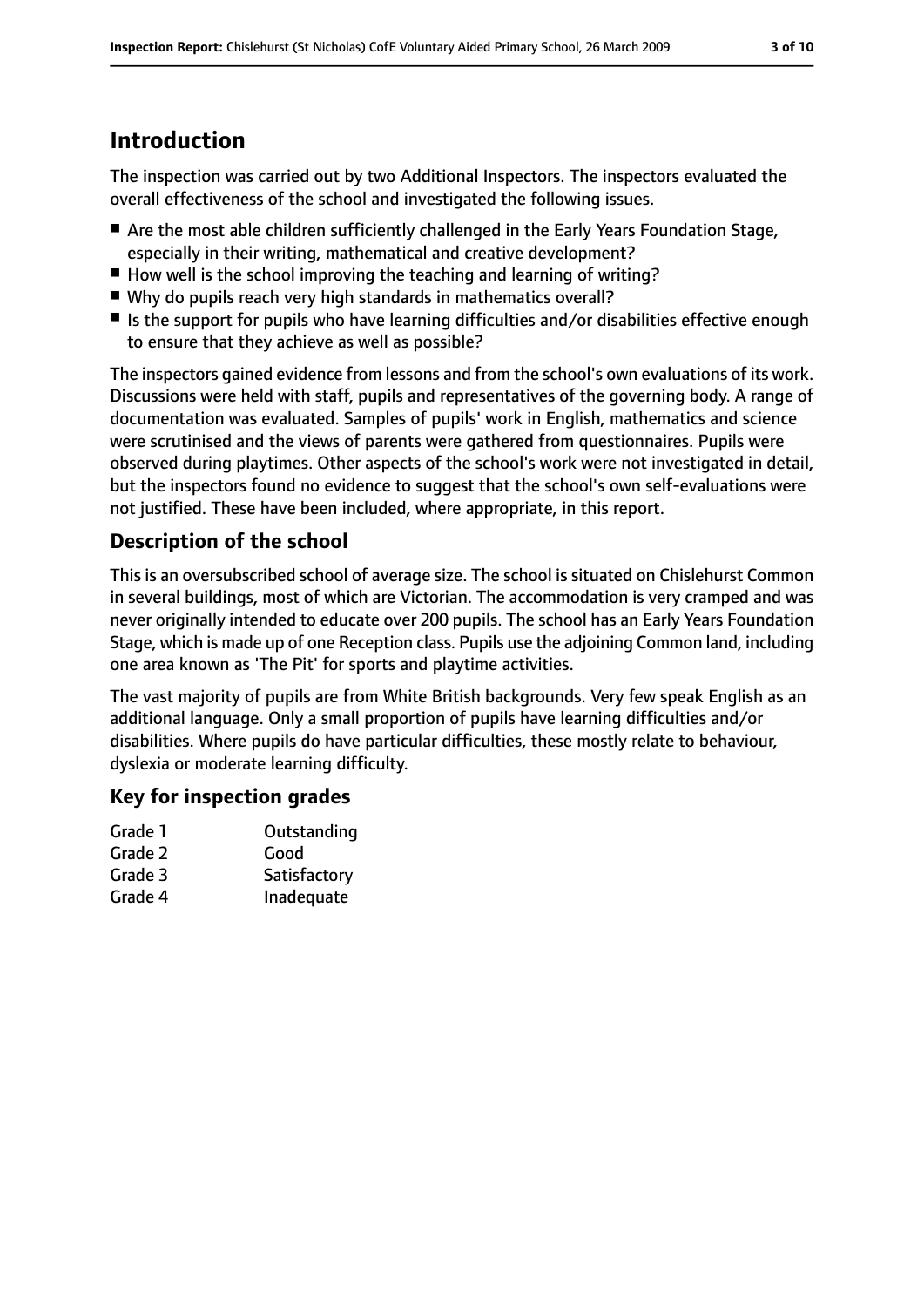## **Introduction**

The inspection was carried out by two Additional Inspectors. The inspectors evaluated the overall effectiveness of the school and investigated the following issues.

- Are the most able children sufficiently challenged in the Early Years Foundation Stage, especially in their writing, mathematical and creative development?
- How well is the school improving the teaching and learning of writing?
- Why do pupils reach very high standards in mathematics overall?
- Is the support for pupils who have learning difficulties and/or disabilities effective enough to ensure that they achieve as well as possible?

The inspectors gained evidence from lessons and from the school's own evaluations of its work. Discussions were held with staff, pupils and representatives of the governing body. A range of documentation was evaluated. Samples of pupils' work in English, mathematics and science were scrutinised and the views of parents were gathered from questionnaires. Pupils were observed during playtimes. Other aspects of the school's work were not investigated in detail, but the inspectors found no evidence to suggest that the school's own self-evaluations were not justified. These have been included, where appropriate, in this report.

### **Description of the school**

This is an oversubscribed school of average size. The school is situated on Chislehurst Common in several buildings, most of which are Victorian. The accommodation is very cramped and was never originally intended to educate over 200 pupils. The school has an Early Years Foundation Stage, which is made up of one Reception class. Pupils use the adjoining Common land, including one area known as 'The Pit' for sports and playtime activities.

The vast majority of pupils are from White British backgrounds. Very few speak English as an additional language. Only a small proportion of pupils have learning difficulties and/or disabilities. Where pupils do have particular difficulties, these mostly relate to behaviour, dyslexia or moderate learning difficulty.

## **Key for inspection grades**

| Grade 1 | Outstanding  |
|---------|--------------|
| Grade 2 | Good         |
| Grade 3 | Satisfactory |
| Grade 4 | Inadequate   |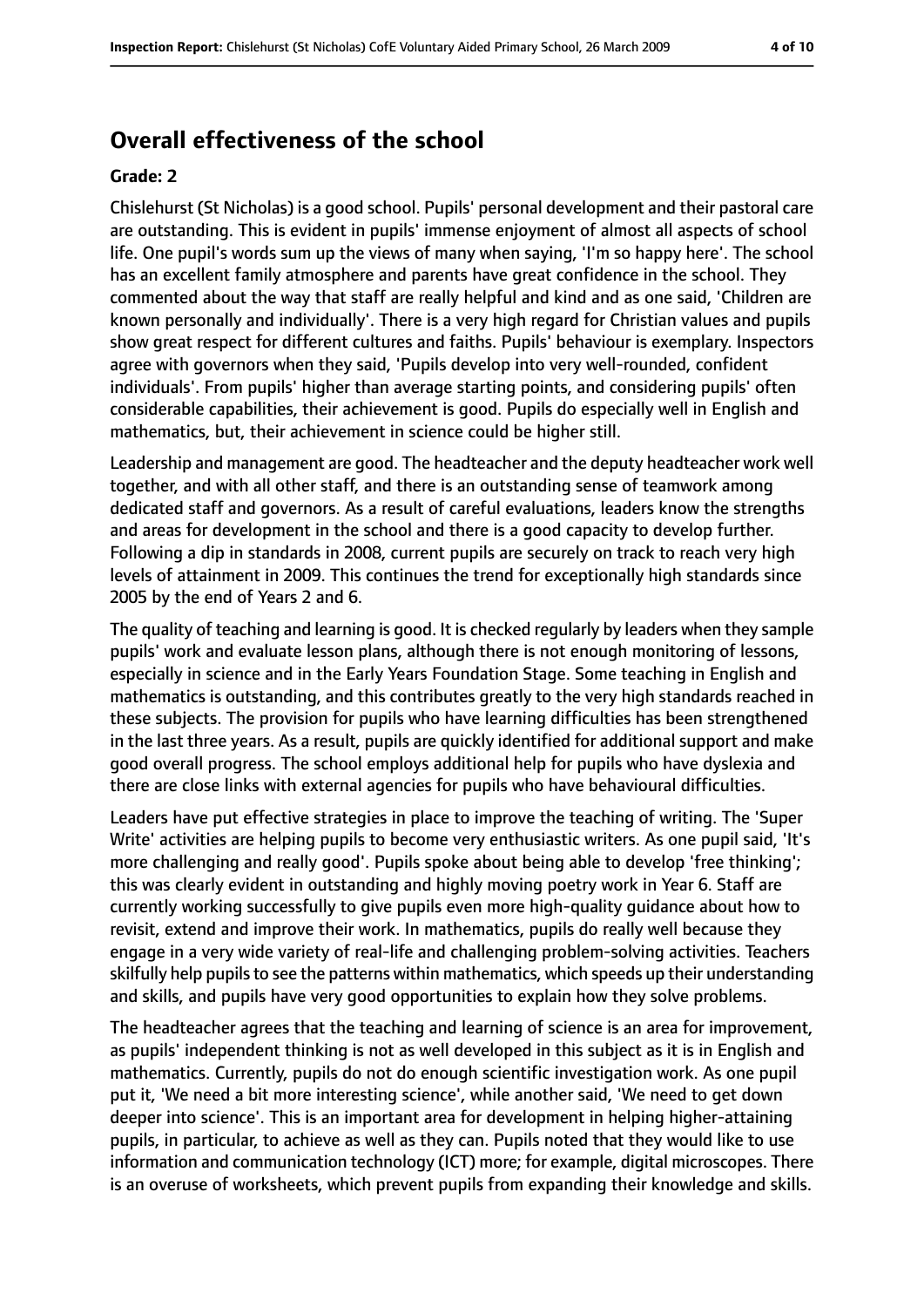## **Overall effectiveness of the school**

#### **Grade: 2**

Chislehurst (St Nicholas) is a good school. Pupils' personal development and their pastoral care are outstanding. This is evident in pupils' immense enjoyment of almost all aspects of school life. One pupil's words sum up the views of many when saying, 'I'm so happy here'. The school has an excellent family atmosphere and parents have great confidence in the school. They commented about the way that staff are really helpful and kind and as one said, 'Children are known personally and individually'. There is a very high regard for Christian values and pupils show great respect for different cultures and faiths. Pupils' behaviour is exemplary. Inspectors agree with governors when they said, 'Pupils develop into very well-rounded, confident individuals'. From pupils' higher than average starting points, and considering pupils' often considerable capabilities, their achievement is good. Pupils do especially well in English and mathematics, but, their achievement in science could be higher still.

Leadership and management are good. The headteacher and the deputy headteacher work well together, and with all other staff, and there is an outstanding sense of teamwork among dedicated staff and governors. As a result of careful evaluations, leaders know the strengths and areas for development in the school and there is a good capacity to develop further. Following a dip in standards in 2008, current pupils are securely on track to reach very high levels of attainment in 2009. This continues the trend for exceptionally high standards since 2005 by the end of Years 2 and 6.

The quality of teaching and learning is good. It is checked regularly by leaders when they sample pupils' work and evaluate lesson plans, although there is not enough monitoring of lessons, especially in science and in the Early Years Foundation Stage. Some teaching in English and mathematics is outstanding, and this contributes greatly to the very high standards reached in these subjects. The provision for pupils who have learning difficulties has been strengthened in the last three years. As a result, pupils are quickly identified for additional support and make good overall progress. The school employs additional help for pupils who have dyslexia and there are close links with external agencies for pupils who have behavioural difficulties.

Leaders have put effective strategies in place to improve the teaching of writing. The 'Super Write' activities are helping pupils to become very enthusiastic writers. As one pupil said, 'It's more challenging and really good'. Pupils spoke about being able to develop 'free thinking'; this was clearly evident in outstanding and highly moving poetry work in Year 6. Staff are currently working successfully to give pupils even more high-quality guidance about how to revisit, extend and improve their work. In mathematics, pupils do really well because they engage in a very wide variety of real-life and challenging problem-solving activities. Teachers skilfully help pupils to see the patterns within mathematics, which speeds up their understanding and skills, and pupils have very good opportunities to explain how they solve problems.

The headteacher agrees that the teaching and learning of science is an area for improvement, as pupils' independent thinking is not as well developed in this subject as it is in English and mathematics. Currently, pupils do not do enough scientific investigation work. As one pupil put it, 'We need a bit more interesting science', while another said, 'We need to get down deeper into science'. This is an important area for development in helping higher-attaining pupils, in particular, to achieve as well as they can. Pupils noted that they would like to use information and communication technology (ICT) more; for example, digital microscopes. There is an overuse of worksheets, which prevent pupils from expanding their knowledge and skills.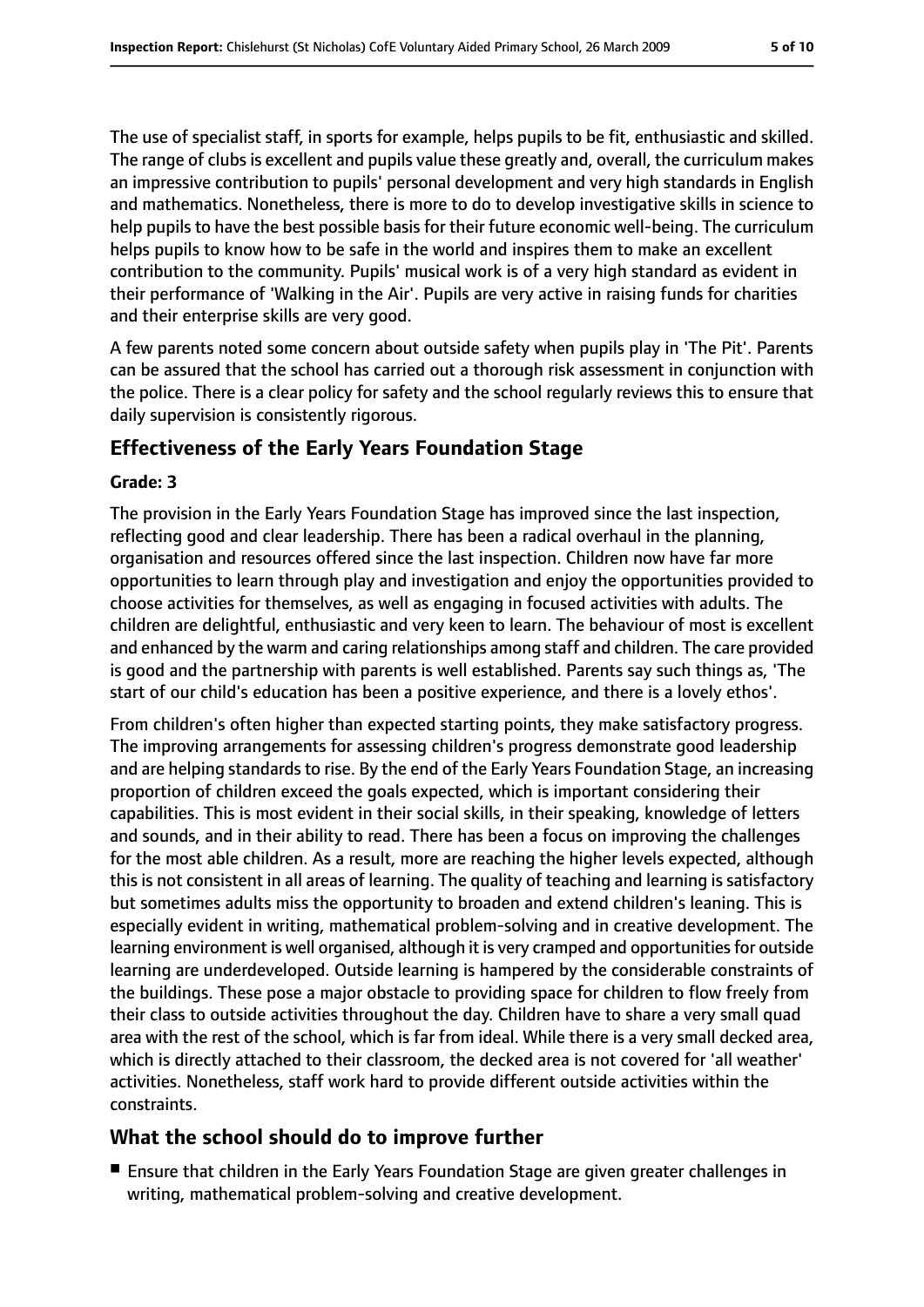The use of specialist staff, in sports for example, helps pupils to be fit, enthusiastic and skilled. The range of clubs is excellent and pupils value these greatly and, overall, the curriculum makes an impressive contribution to pupils' personal development and very high standards in English and mathematics. Nonetheless, there is more to do to develop investigative skills in science to help pupils to have the best possible basis for their future economic well-being. The curriculum helps pupils to know how to be safe in the world and inspires them to make an excellent contribution to the community. Pupils' musical work is of a very high standard as evident in their performance of 'Walking in the Air'. Pupils are very active in raising funds for charities and their enterprise skills are very good.

A few parents noted some concern about outside safety when pupils play in 'The Pit'. Parents can be assured that the school has carried out a thorough risk assessment in conjunction with the police. There is a clear policy for safety and the school regularly reviews this to ensure that daily supervision is consistently rigorous.

#### **Effectiveness of the Early Years Foundation Stage**

#### **Grade: 3**

The provision in the Early Years Foundation Stage has improved since the last inspection, reflecting good and clear leadership. There has been a radical overhaul in the planning, organisation and resources offered since the last inspection. Children now have far more opportunities to learn through play and investigation and enjoy the opportunities provided to choose activities for themselves, as well as engaging in focused activities with adults. The children are delightful, enthusiastic and very keen to learn. The behaviour of most is excellent and enhanced by the warm and caring relationships among staff and children. The care provided is good and the partnership with parents is well established. Parents say such things as, 'The start of our child's education has been a positive experience, and there is a lovely ethos'.

From children's often higher than expected starting points, they make satisfactory progress. The improving arrangements for assessing children's progress demonstrate good leadership and are helping standards to rise. By the end of the Early Years Foundation Stage, an increasing proportion of children exceed the goals expected, which is important considering their capabilities. This is most evident in their social skills, in their speaking, knowledge of letters and sounds, and in their ability to read. There has been a focus on improving the challenges for the most able children. As a result, more are reaching the higher levels expected, although this is not consistent in all areas of learning. The quality of teaching and learning is satisfactory but sometimes adults miss the opportunity to broaden and extend children's leaning. This is especially evident in writing, mathematical problem-solving and in creative development. The learning environment is well organised, although it is very cramped and opportunities for outside learning are underdeveloped. Outside learning is hampered by the considerable constraints of the buildings. These pose a major obstacle to providing space for children to flow freely from their class to outside activities throughout the day. Children have to share a very small quad area with the rest of the school, which is far from ideal. While there is a very small decked area, which is directly attached to their classroom, the decked area is not covered for 'all weather' activities. Nonetheless, staff work hard to provide different outside activities within the constraints.

#### **What the school should do to improve further**

■ Ensure that children in the Early Years Foundation Stage are given greater challenges in writing, mathematical problem-solving and creative development.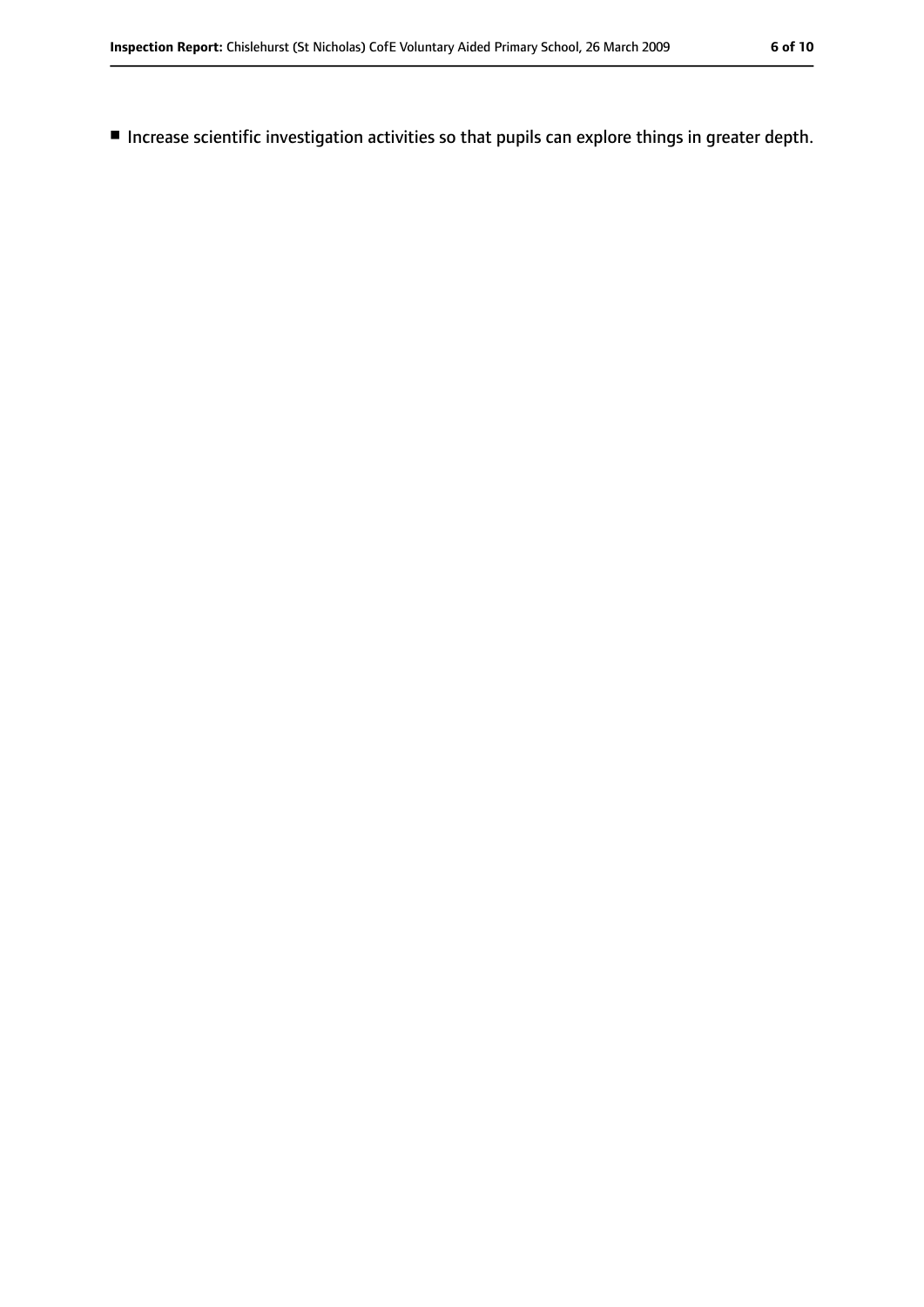■ Increase scientific investigation activities so that pupils can explore things in greater depth.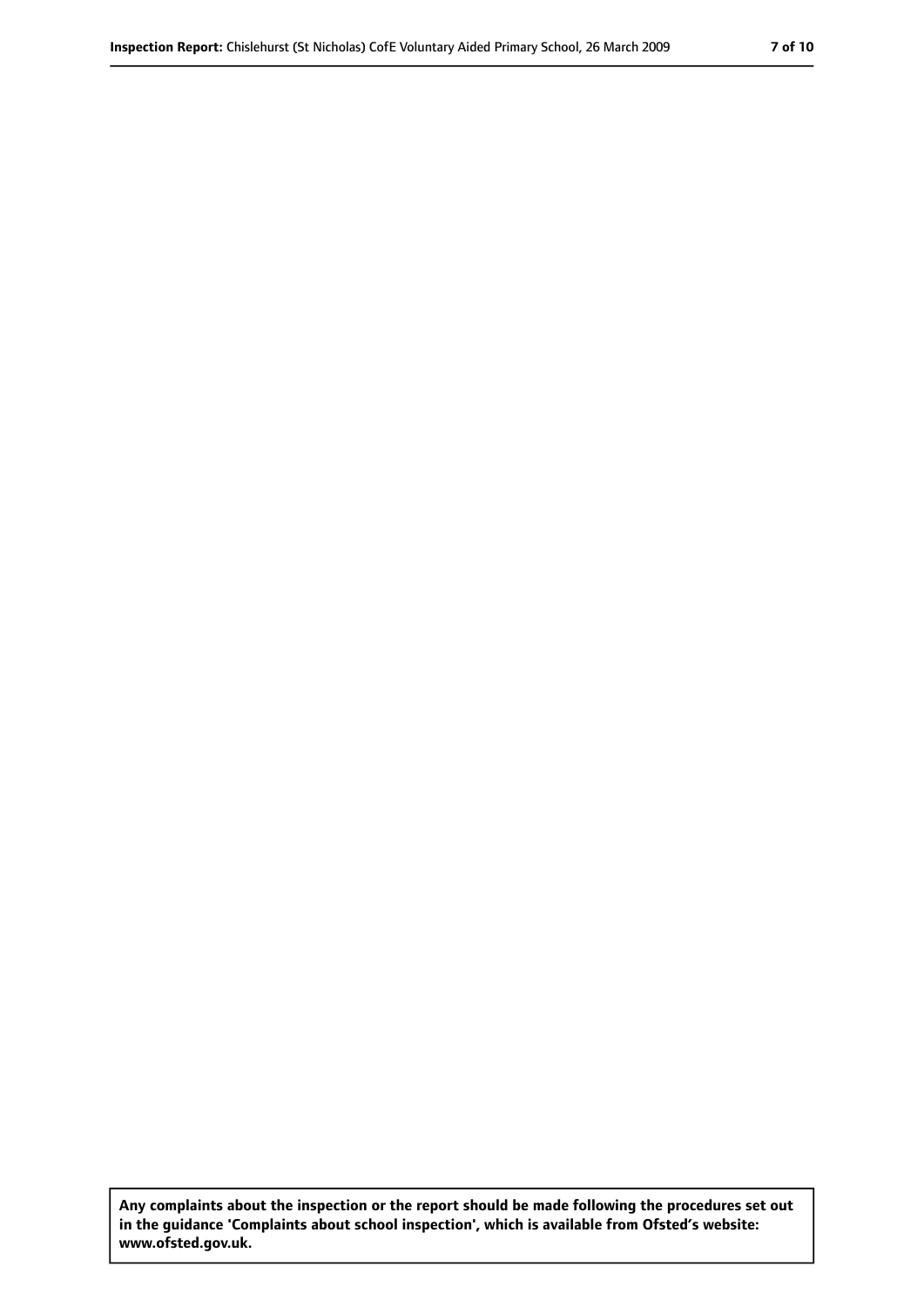**Any complaints about the inspection or the report should be made following the procedures set out in the guidance 'Complaints about school inspection', which is available from Ofsted's website: www.ofsted.gov.uk.**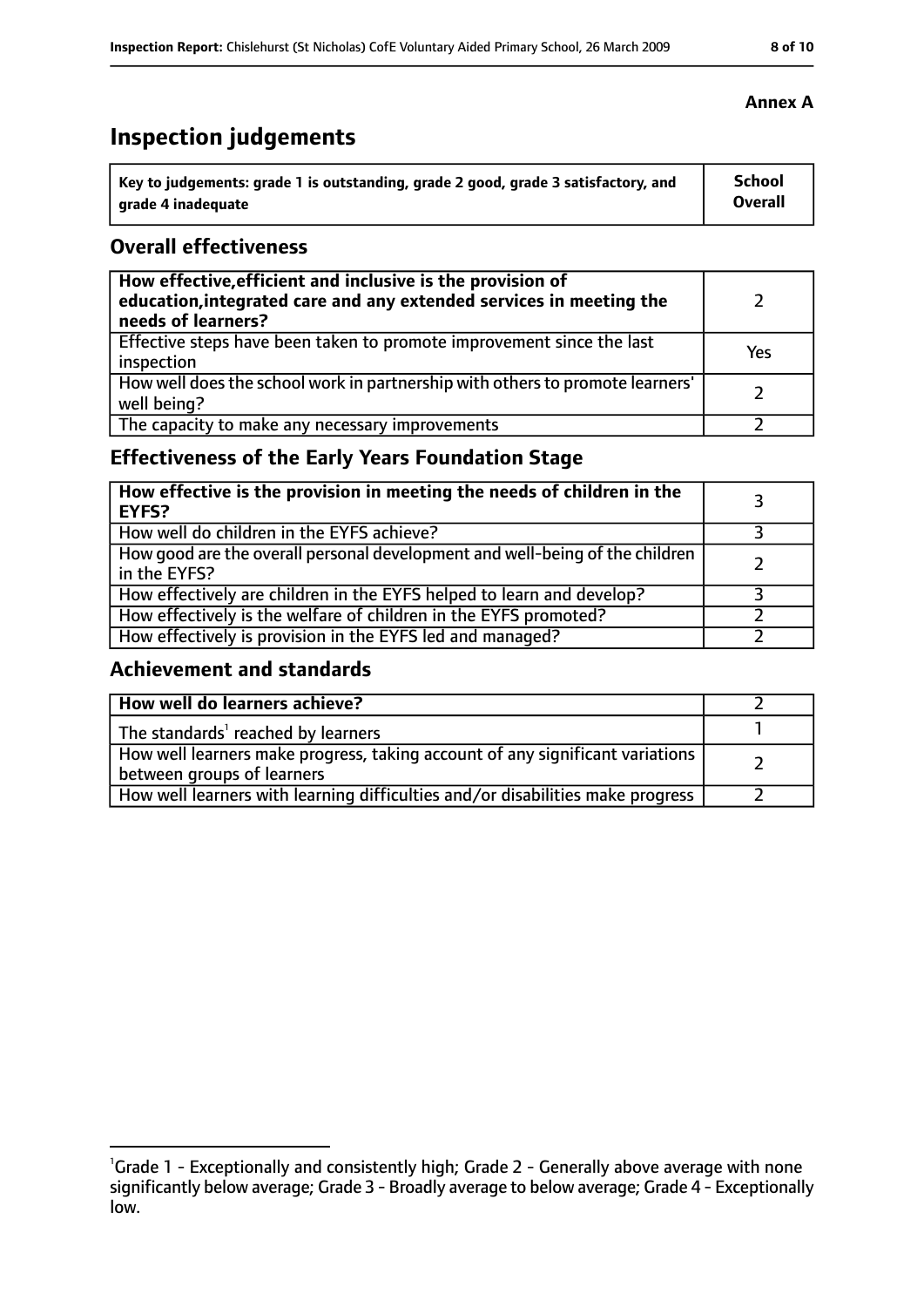## **Inspection judgements**

| $^{\backprime}$ Key to judgements: grade 1 is outstanding, grade 2 good, grade 3 satisfactory, and | <b>School</b>  |
|----------------------------------------------------------------------------------------------------|----------------|
| arade 4 inadequate                                                                                 | <b>Overall</b> |

#### **Overall effectiveness**

| How effective, efficient and inclusive is the provision of<br>education, integrated care and any extended services in meeting the<br>needs of learners? |     |
|---------------------------------------------------------------------------------------------------------------------------------------------------------|-----|
| Effective steps have been taken to promote improvement since the last<br>inspection                                                                     | Yes |
| How well does the school work in partnership with others to promote learners'<br>well being?                                                            |     |
| The capacity to make any necessary improvements                                                                                                         |     |

## **Effectiveness of the Early Years Foundation Stage**

| How effective is the provision in meeting the needs of children in the<br><b>EYFS?</b>       |  |
|----------------------------------------------------------------------------------------------|--|
| How well do children in the EYFS achieve?                                                    |  |
| How good are the overall personal development and well-being of the children<br>in the EYFS? |  |
| How effectively are children in the EYFS helped to learn and develop?                        |  |
| How effectively is the welfare of children in the EYFS promoted?                             |  |
| How effectively is provision in the EYFS led and managed?                                    |  |

#### **Achievement and standards**

| How well do learners achieve?                                                                                 |  |
|---------------------------------------------------------------------------------------------------------------|--|
| The standards <sup>1</sup> reached by learners                                                                |  |
| How well learners make progress, taking account of any significant variations  <br>between groups of learners |  |
| How well learners with learning difficulties and/or disabilities make progress                                |  |

#### **Annex A**

<sup>&</sup>lt;sup>1</sup>Grade 1 - Exceptionally and consistently high; Grade 2 - Generally above average with none significantly below average; Grade 3 - Broadly average to below average; Grade 4 - Exceptionally low.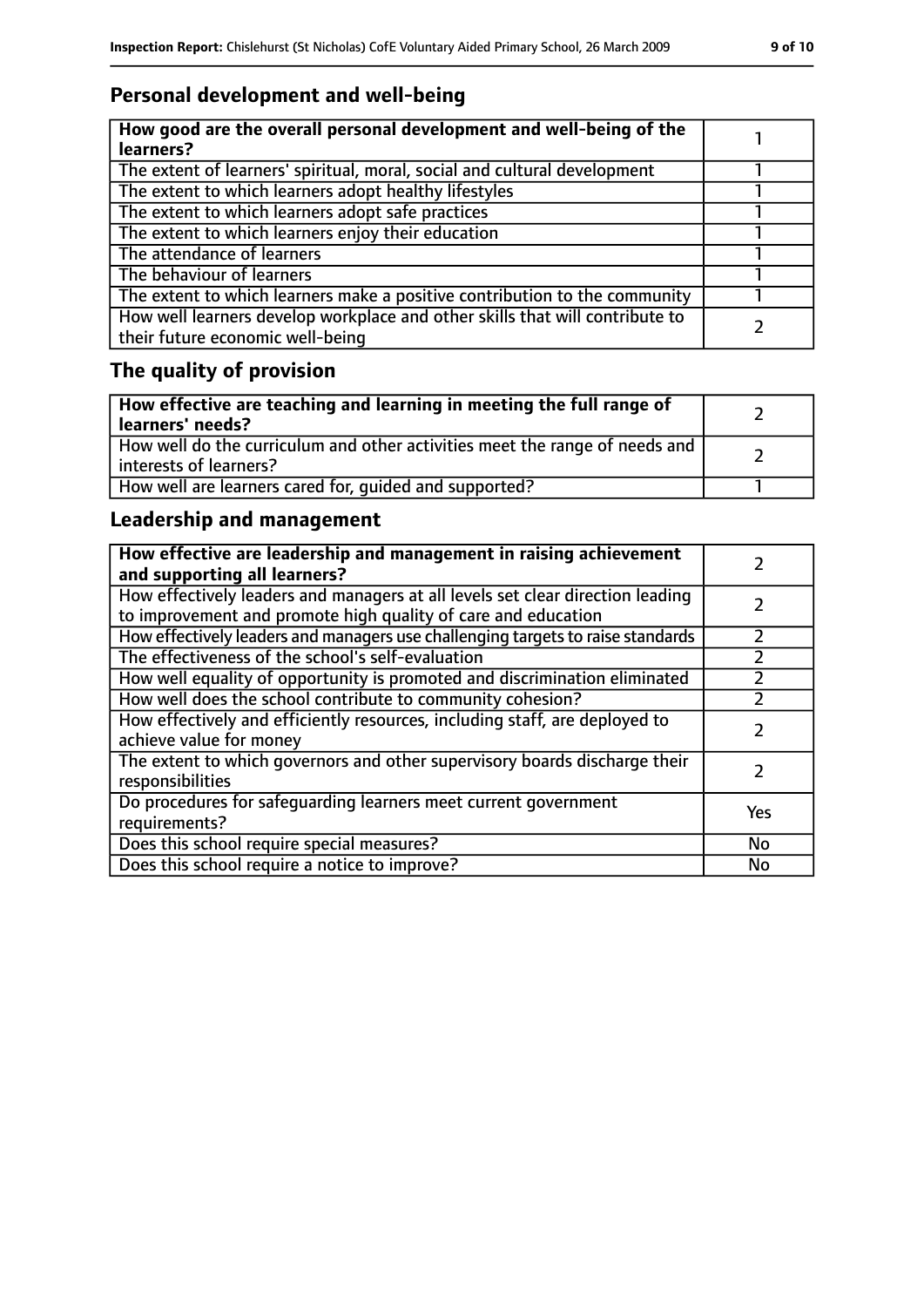## **Personal development and well-being**

| How good are the overall personal development and well-being of the<br>learners?                                 |  |
|------------------------------------------------------------------------------------------------------------------|--|
| The extent of learners' spiritual, moral, social and cultural development                                        |  |
| The extent to which learners adopt healthy lifestyles                                                            |  |
| The extent to which learners adopt safe practices                                                                |  |
| The extent to which learners enjoy their education                                                               |  |
| The attendance of learners                                                                                       |  |
| The behaviour of learners                                                                                        |  |
| The extent to which learners make a positive contribution to the community                                       |  |
| How well learners develop workplace and other skills that will contribute to<br>their future economic well-being |  |

## **The quality of provision**

| How effective are teaching and learning in meeting the full range of<br>learners' needs?              |  |
|-------------------------------------------------------------------------------------------------------|--|
| How well do the curriculum and other activities meet the range of needs and<br>interests of learners? |  |
| How well are learners cared for, quided and supported?                                                |  |

## **Leadership and management**

| How effective are leadership and management in raising achievement<br>and supporting all learners?                                              |           |
|-------------------------------------------------------------------------------------------------------------------------------------------------|-----------|
| How effectively leaders and managers at all levels set clear direction leading<br>to improvement and promote high quality of care and education |           |
| How effectively leaders and managers use challenging targets to raise standards                                                                 | フ         |
| The effectiveness of the school's self-evaluation                                                                                               |           |
| How well equality of opportunity is promoted and discrimination eliminated                                                                      |           |
| How well does the school contribute to community cohesion?                                                                                      |           |
| How effectively and efficiently resources, including staff, are deployed to<br>achieve value for money                                          |           |
| The extent to which governors and other supervisory boards discharge their<br>responsibilities                                                  |           |
| Do procedures for safequarding learners meet current government<br>requirements?                                                                | Yes       |
| Does this school require special measures?                                                                                                      | <b>No</b> |
| Does this school require a notice to improve?                                                                                                   | No        |